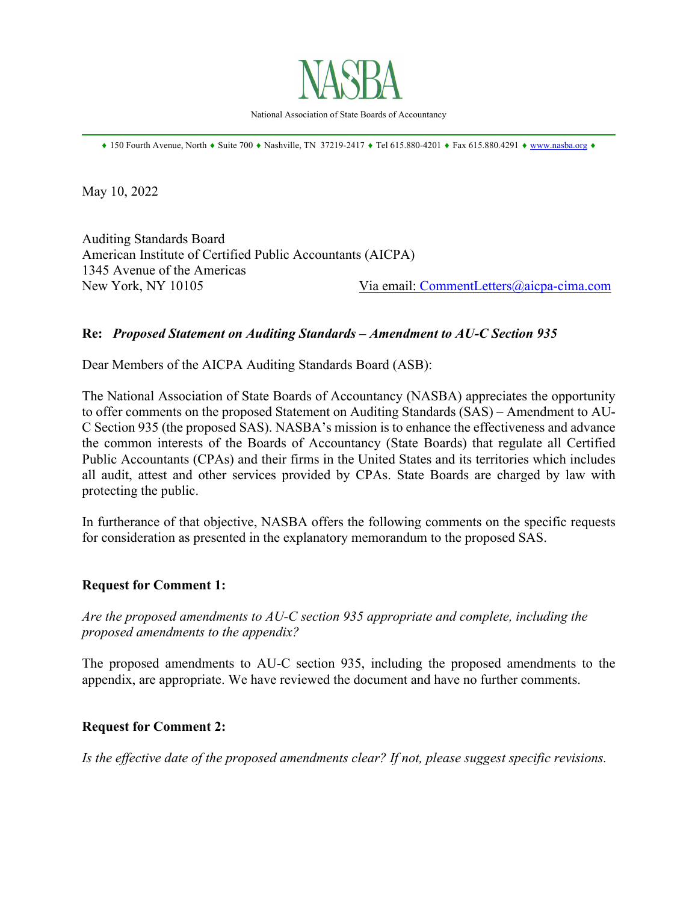

National Association of State Boards of Accountancy  $\mathcal{L}_\mathcal{L} = \mathcal{L}_\mathcal{L} = \mathcal{L}_\mathcal{L} = \mathcal{L}_\mathcal{L} = \mathcal{L}_\mathcal{L} = \mathcal{L}_\mathcal{L} = \mathcal{L}_\mathcal{L} = \mathcal{L}_\mathcal{L} = \mathcal{L}_\mathcal{L} = \mathcal{L}_\mathcal{L} = \mathcal{L}_\mathcal{L} = \mathcal{L}_\mathcal{L} = \mathcal{L}_\mathcal{L} = \mathcal{L}_\mathcal{L} = \mathcal{L}_\mathcal{L} = \mathcal{L}_\mathcal{L} = \mathcal{L}_\mathcal{L}$ 

 $\text{150}$  Fourth Avenue, North  $\text{•}$  Suite 700  $\text{•}$  Nashville, TN 37219-2417  $\text{•}$  Tel 615.880-4201  $\text{•}$  Fax 615.880.4291  $\text{•}$  www.nasba.org  $\text{•}$ 

May 10, 2022

Auditing Standards Board American Institute of Certified Public Accountants (AICPA) 1345 Avenue of the Americas New York, NY 10105 Via email: CommentLetters@aicpa-cima.com

## **Re:** *Proposed Statement on Auditing Standards – Amendment to AU-C Section 935*

Dear Members of the AICPA Auditing Standards Board (ASB):

The National Association of State Boards of Accountancy (NASBA) appreciates the opportunity to offer comments on the proposed Statement on Auditing Standards (SAS) – Amendment to AU-C Section 935 (the proposed SAS). NASBA's mission is to enhance the effectiveness and advance the common interests of the Boards of Accountancy (State Boards) that regulate all Certified Public Accountants (CPAs) and their firms in the United States and its territories which includes all audit, attest and other services provided by CPAs. State Boards are charged by law with protecting the public.

In furtherance of that objective, NASBA offers the following comments on the specific requests for consideration as presented in the explanatory memorandum to the proposed SAS.

## **Request for Comment 1:**

*Are the proposed amendments to AU-C section 935 appropriate and complete, including the proposed amendments to the appendix?*

The proposed amendments to AU-C section 935, including the proposed amendments to the appendix, are appropriate. We have reviewed the document and have no further comments.

## **Request for Comment 2:**

*Is the effective date of the proposed amendments clear? If not, please suggest specific revisions.*